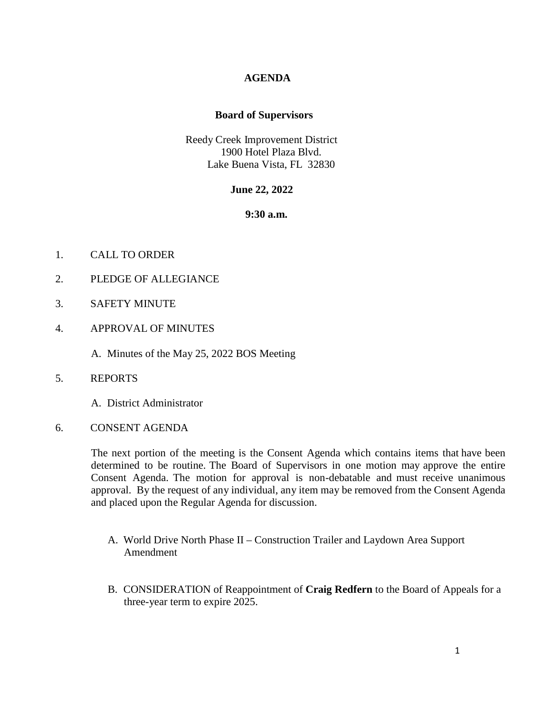# **AGENDA**

### **Board of Supervisors**

Reedy Creek Improvement District 1900 Hotel Plaza Blvd. Lake Buena Vista, FL 32830

### **June 22, 2022**

**9:30 a.m.**

- 1. CALL TO ORDER
- 2. PLEDGE OF ALLEGIANCE
- 3. SAFETY MINUTE
- 4. APPROVAL OF MINUTES

A. Minutes of the May 25, 2022 BOS Meeting

5. REPORTS

A. District Administrator

6. CONSENT AGENDA

The next portion of the meeting is the Consent Agenda which contains items that have been determined to be routine. The Board of Supervisors in one motion may approve the entire Consent Agenda. The motion for approval is non-debatable and must receive unanimous approval. By the request of any individual, any item may be removed from the Consent Agenda and placed upon the Regular Agenda for discussion.

- A. World Drive North Phase II Construction Trailer and Laydown Area Support Amendment
- B. CONSIDERATION of Reappointment of **Craig Redfern** to the Board of Appeals for a three-year term to expire 2025.